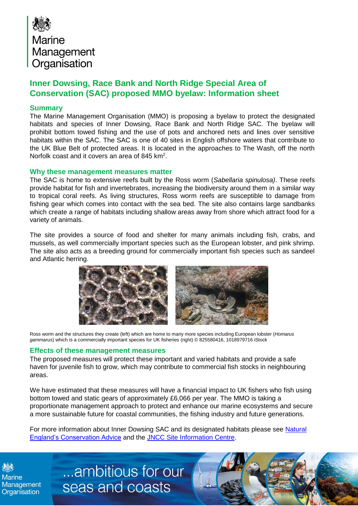

## **Inner Dowsing, Race Bank and North Ridge Special Area of Conservation (SAC) proposed MMO byelaw: Information sheet**

## **Summary**

The Marine Management Organisation (MMO) is proposing a byelaw to protect the designated habitats and species of Inner Dowsing, Race Bank and North Ridge SAC. The byelaw will prohibit bottom towed fishing and the use of pots and anchored nets and lines over sensitive habitats within the SAC. The SAC is one of 40 sites in English offshore waters that contribute to the UK Blue Belt of protected areas. It is located in the approaches to The Wash, off the north Norfolk coast and it covers an area of 845 km<sup>2</sup>.

## **Why these management measures matter**

The SAC is home to extensive reefs built by the Ross worm (*Sabellaria spinulosa)*. These reefs provide habitat for fish and invertebrates, increasing the biodiversity around them in a similar way to tropical coral reefs. As living structures, Ross worm reefs are susceptible to damage from fishing gear which comes into contact with the sea bed. The site also contains large sandbanks which create a range of habitats including shallow areas away from shore which attract food for a variety of animals.

The site provides a source of food and shelter for many animals including fish, crabs, and mussels, as well commercially important species such as the European lobster, and pink shrimp. The site also acts as a breeding ground for commercially important fish species such as sandeel and Atlantic herring.



Ross worm and the structures they create (left) which are home to many more species including European lobster (*Homarus gammarus*) which is a commercially important species for UK fisheries (right) © 825580416, 1018979716 iStock

## **Effects of these management measures**

The proposed measures will protect these important and varied habitats and provide a safe haven for juvenile fish to grow, which may contribute to commercial fish stocks in neighbouring areas.

We have estimated that these measures will have a financial impact to UK fishers who fish using bottom towed and static gears of approximately £6,066 per year. The MMO is taking a proportionate management approach to protect and enhance our marine ecosystems and secure a more sustainable future for coastal communities, the fishing industry and future generations.

For more information about Inner Dowsing SAC and its designated habitats please see Natural [England's Conservation Advice](https://designatedsites.naturalengland.org.uk/Marine/MarineSiteDetail.aspx?SiteCode=UK0030370&SiteName=inner%20dows&countyCode=&responsiblePerson=&SeaArea=&IFCAArea=&HasCA=1&NumMarineSeasonality=0&SiteNameDisplay=Inner%20Dowsing,%20Race%20Bank%20and%20North%20Ridge%20SAC) and the [JNCC Site Information Centre.](https://jncc.gov.uk/our-work/inner-dowsing-race-bank-and-north-ridge/)

[../../../../../../../../BE/ai/Case](../../../../../../../../BE/ai/Case%20Management/Forms/AllItems.aspx) 

**Marine** Organisation